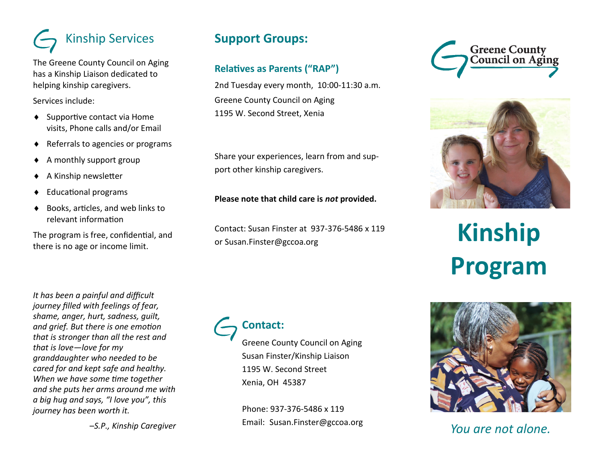## Kinship Services

The Greene County Council on Aging has a Kinship Liaison dedicated to helping kinship caregivers.

Services include:

- ◆ Supportive contact via Home visits, Phone calls and/or Email
- ◆ Referrals to agencies or programs
- $\triangle$  A monthly support group
- A Kinship newsletter
- Educational programs
- ◆ Books, articles, and web links to relevant information

The program is free, confidential, and there is no age or income limit.

*It has been a painful and difficult journey filled with feelings of fear, shame, anger, hurt, sadness, guilt, and grief. But there is one emotion that is stronger than all the rest and that is love—love for my granddaughter who needed to be cared for and kept safe and healthy. When we have some time together and she puts her arms around me with a big hug and says, "I love you", this journey has been worth it.* 

*–S.P., Kinship Caregiver*

## **Support Groups:**

## **Relatives as Parents ("RAP")**

2nd Tuesday every month, 10:00-11:30 a.m. Greene County Council on Aging 1195 W. Second Street, Xenia

Share your experiences, learn from and support other kinship caregivers.

#### **Please note that child care is** *not* **provided.**

Contact: Susan Finster at 937-376-5486 x 119 or Susan.Finster@gccoa.org

## **Contact:**

Greene County Council on Aging Susan Finster/Kinship Liaison 1195 W. Second Street Xenia, OH 45387

Phone: 937-376-5486 x 119 Email: Susan.Finster@gccoa.org





# **Kinship Program**



*You are not alone.*